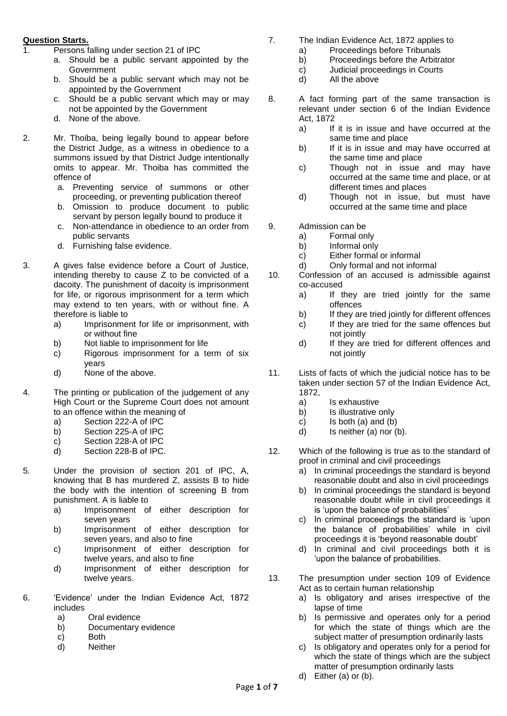## **Question Starts.**

- 1. Persons falling under section 21 of IPC
	- a. Should be a public servant appointed by the **Government**
	- b. Should be a public servant which may not be appointed by the Government
	- c. Should be a public servant which may or may not be appointed by the Government
	- d. None of the above.
- 2. Mr. Thoiba, being legally bound to appear before the District Judge, as a witness in obedience to a summons issued by that District Judge intentionally omits to appear. Mr. Thoiba has committed the offence of
	- a. Preventing service of summons or other proceeding, or preventing publication thereof
	- b. Omission to produce document to public servant by person legally bound to produce it
	- c. Non-attendance in obedience to an order from public servants
	- d. Furnishing false evidence.
- 3. A gives false evidence before a Court of Justice, intending thereby to cause Z to be convicted of a dacoity. The punishment of dacoity is imprisonment for life, or rigorous imprisonment for a term which may extend to ten years, with or without fine. A therefore is liable to
	- a) Imprisonment for life or imprisonment, with or without fine
	- b) Not liable to imprisonment for life
	- c) Rigorous imprisonment for a term of six years
	- d) None of the above.
- 4. The printing or publication of the judgement of any High Court or the Supreme Court does not amount to an offence within the meaning of
	- a) Section 222-A of IPC
	- b) Section 225-A of IPC
	- c) Section 228-A of IPC
	- d) Section 228-B of IPC.
- 5. Under the provision of section 201 of IPC, A, knowing that B has murdered Z, assists B to hide the body with the intention of screening B from punishment. A is liable to
	- a) Imprisonment of either description for seven years
	- b) Imprisonment of either description for seven years, and also to fine
	- c) Imprisonment of either description for twelve years, and also to fine
	- d) Imprisonment of either description for twelve years.
- 6. 'Evidence' under the Indian Evidence Act, 1872 includes
	- a) Oral evidence
	- b) Documentary evidence
	- c) Both
	- d) Neither
- 7. The Indian Evidence Act, 1872 applies to
	- a) Proceedings before Tribunals
	- b) Proceedings before the Arbitrator
	- c) Judicial proceedings in Courts
	- d) All the above
- 8. A fact forming part of the same transaction is relevant under section 6 of the Indian Evidence Act, 1872
	- a) If it is in issue and have occurred at the same time and place
	- b) If it is in issue and may have occurred at the same time and place
	- c) Though not in issue and may have occurred at the same time and place, or at different times and places
	- d) Though not in issue, but must have occurred at the same time and place
- 9. Admission can be
	- a) Formal only
	- b) Informal only
	- c) Either formal or informal
	- d) Only formal and not informal
- 10. Confession of an accused is admissible against co-accused
	- a) If they are tried jointly for the same offences
	- b) If they are tried jointly for different offences
	- c) If they are tried for the same offences but not jointly
	- d) If they are tried for different offences and not jointly
- 11. Lists of facts of which the judicial notice has to be taken under section 57 of the Indian Evidence Act, 1872,
	- a) Is exhaustive
	- b) Is illustrative only
	- c) Is both (a) and (b)
	- d) Is neither (a) nor (b).
- 12. Which of the following is true as to the standard of proof in criminal and civil proceedings
	- a) In criminal proceedings the standard is beyond reasonable doubt and also in civil proceedings
	- b) In criminal proceedings the standard is beyond reasonable doubt while in civil proceedings it is 'upon the balance of probabilities'
	- c) In criminal proceedings the standard is 'upon the balance of probabilities' while in civil proceedings it is 'beyond reasonable doubt'
	- d) In criminal and civil proceedings both it is 'upon the balance of probabilities.
- 13. The presumption under section 109 of Evidence Act as to certain human relationship
	- a) Is obligatory and arises irrespective of the lapse of time
	- b) Is permissive and operates only for a period for which the state of things which are the subject matter of presumption ordinarily lasts
	- c) Is obligatory and operates only for a period for which the state of things which are the subject matter of presumption ordinarily lasts
	- d) Either (a) or (b).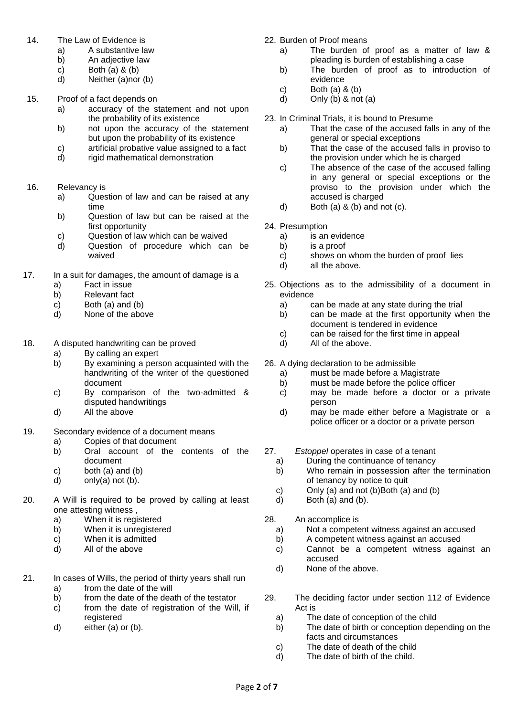- 14. The Law of Evidence is
	- a) A substantive law
	- b) An adjective law
	- c) Both  $(a)$  &  $(b)$
	- d) Neither (a)nor (b)
- 15. Proof of a fact depends on
	- a) accuracy of the statement and not upon the probability of its existence
	- b) not upon the accuracy of the statement but upon the probability of its existence
	- c) artificial probative value assigned to a fact
	- d) rigid mathematical demonstration
- 16. Relevancy is
	- a) Question of law and can be raised at any time
	- b) Question of law but can be raised at the first opportunity
	- c) Question of law which can be waived
	- d) Question of procedure which can be waived
- 17. In a suit for damages, the amount of damage is a
	- a) Fact in issue
	- b) Relevant fact
	- c) Both (a) and (b)
	- d) None of the above
- 18. A disputed handwriting can be proved
	- a) By calling an expert
	- b) By examining a person acquainted with the handwriting of the writer of the questioned document
	- c) By comparison of the two-admitted & disputed handwritings
	- d) All the above
- 19. Secondary evidence of a document means
	- a) Copies of that document
	- b) Oral account of the contents of the document
	- c) both (a) and (b)
	- d) only(a) not (b).
- 20. A Will is required to be proved by calling at least one attesting witness ,
	- a) When it is registered
	- b) When it is unregistered
	- c) When it is admitted
	- d) All of the above
- 21. In cases of Wills, the period of thirty years shall run
	- a) from the date of the will
	- b) from the date of the death of the testator
	- c) from the date of registration of the Will, if registered
	- d) either (a) or (b).
- 22. Burden of Proof means
	- a) The burden of proof as a matter of law & pleading is burden of establishing a case
	- b) The burden of proof as to introduction of evidence
	- c) Both (a) & (b)
	- d) Only  $(b)$  & not  $(a)$
- 23. In Criminal Trials, it is bound to Presume
	- a) That the case of the accused falls in any of the general or special exceptions
	- b) That the case of the accused falls in proviso to the provision under which he is charged
	- c) The absence of the case of the accused falling in any general or special exceptions or the proviso to the provision under which the accused is charged
	- d) Both (a)  $\&$  (b) and not (c).
- 24. Presumption
	- a) is an evidence
	- b) is a proof
	- c) shows on whom the burden of proof lies
	- d) all the above.
- 25. Objections as to the admissibility of a document in evidence
	- a) can be made at any state during the trial
	- b) can be made at the first opportunity when the document is tendered in evidence
	- c) can be raised for the first time in appeal
	- d) All of the above.
- 26. A dying declaration to be admissible
	- a) must be made before a Magistrate
	- b) must be made before the police officer
	- c) may be made before a doctor or a private person
	- d) may be made either before a Magistrate or a police officer or a doctor or a private person
- 27. *Estoppel* operates in case of a tenant
	- a) During the continuance of tenancy
	- b) Who remain in possession after the termination of tenancy by notice to quit
	- c) Only (a) and not (b)Both (a) and (b)
	- d) Both (a) and (b).
- 28. An accomplice is
	- a) Not a competent witness against an accused
	- b) A competent witness against an accused
	- c) Cannot be a competent witness against an accused
	- d) None of the above.
- 29. The deciding factor under section 112 of Evidence Act is
	- a) The date of conception of the child
	- b) The date of birth or conception depending on the facts and circumstances
	- c) The date of death of the child
	- d) The date of birth of the child.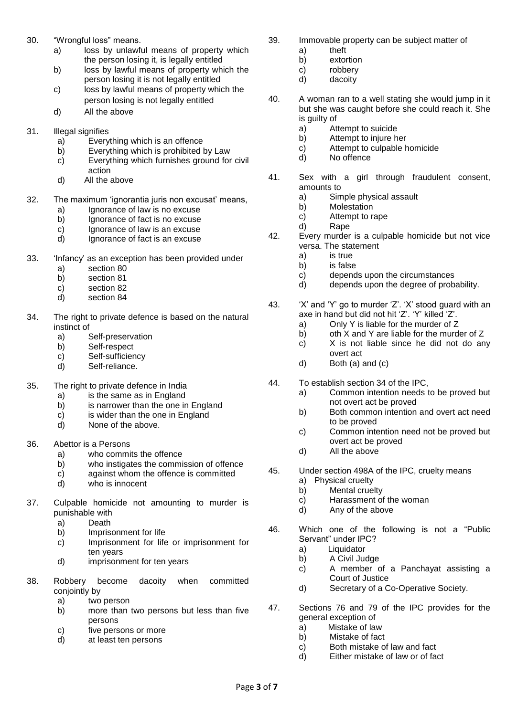- 30. "Wrongful loss" means.
	- a) loss by unlawful means of property which the person losing it, is legally entitled
	- b) loss by lawful means of property which the person losing it is not legally entitled
	- c) loss by lawful means of property which the person losing is not legally entitled
	- d) All the above
- 31. Illegal signifies
	- a) Everything which is an offence
	- b) Everything which is prohibited by Law
	- c) Everything which furnishes ground for civil action
	- d) All the above
- 32. The maximum 'ignorantia juris non excusat' means,
	- a) Ignorance of law is no excuse
	- b) Ignorance of fact is no excuse
	- c) Ignorance of law is an excuse
	- d) Ignorance of fact is an excuse
- 33. 'Infancy' as an exception has been provided under
	- a) section 80
	- b) section 81
	- c) section 82
	- d) section 84
- 34. The right to private defence is based on the natural instinct of
	- a) Self-preservation
	- b) Self-respect
	- c) Self-sufficiency
	- d) Self-reliance.
- 35. The right to private defence in India
	- a) is the same as in England
	- b) is narrower than the one in England
	- c) is wider than the one in England
	- d) None of the above.
- 36. Abettor is a Persons
	- a) who commits the offence
	- b) who instigates the commission of offence
	- c) against whom the offence is committed<br>d) who is innocent
	- who is innocent
- 37. Culpable homicide not amounting to murder is punishable with
	- a) Death
	- b) Imprisonment for life
	- c) Imprisonment for life or imprisonment for ten years
	- d) imprisonment for ten years
- 38. Robbery become dacoity when committed conjointly by
	- a) two person
	- b) more than two persons but less than five persons
	- c) five persons or more
	- d) at least ten persons
- 39. Immovable property can be subject matter of
	- a) theft
	- b) extortion
	- c) robbery
	- d) dacoity
- 40. A woman ran to a well stating she would jump in it but she was caught before she could reach it. She is guilty of
	- a) Attempt to suicide
	- b) Attempt to injure her
	- c) Attempt to culpable homicide
	- d) No offence
- 41. Sex with a girl through fraudulent consent, amounts to
	- a) Simple physical assault
	- b) Molestation
	- c) Attempt to rape
	- d) Rape
- 42. Every murder is a culpable homicide but not vice versa. The statement
	- a) is true
	- b) is false
	- c) depends upon the circumstances
	- d) depends upon the degree of probability.
- 43. 'X' and 'Y' go to murder 'Z'. 'X' stood guard with an axe in hand but did not hit 'Z'. 'Y' killed 'Z'.
	- a) Only Y is liable for the murder of Z
		- b) oth X and Y are liable for the murder of Z
	- c) X is not liable since he did not do any overt act
	- d) Both (a) and (c)
- 44. To establish section 34 of the IPC,
	- a) Common intention needs to be proved but not overt act be proved
	- b) Both common intention and overt act need to be proved
	- c) Common intention need not be proved but overt act be proved
	- d) All the above
- 45. Under section 498A of the IPC, cruelty means
	- a) Physical cruelty
	- b) Mental cruelty
	- c) Harassment of the woman
	- d) Any of the above
- 46. Which one of the following is not a "Public Servant" under IPC?
	- a) Liquidator
	- b) A Civil Judge
	- c) A member of a Panchayat assisting a Court of Justice
	- d) Secretary of a Co-Operative Society.
- 47. Sections 76 and 79 of the IPC provides for the general exception of
	- a) Mistake of law
	- b) Mistake of fact
	- c) Both mistake of law and fact
	- d) Either mistake of law or of fact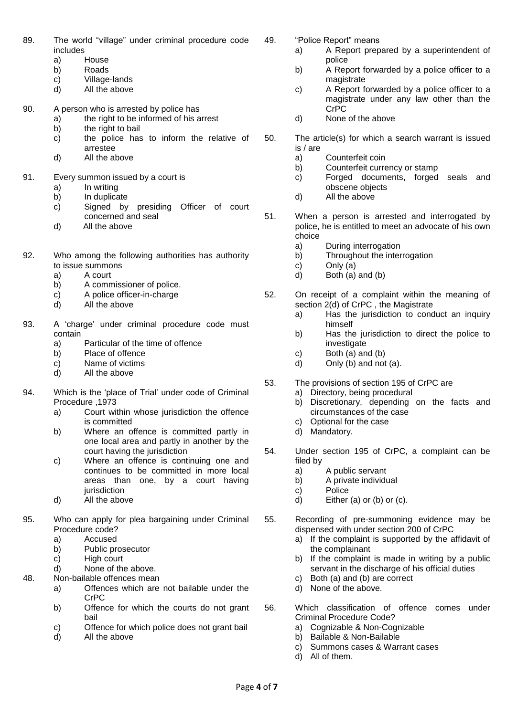- 89. The world "village" under criminal procedure code includes
	- a) House
	- b) Roads
	- c) Village-lands
	- d) All the above
- 90. A person who is arrested by police has
	- a) the right to be informed of his arrest
	- b) the right to bail
	- c) the police has to inform the relative of arrestee
	- d) All the above
- 91. Every summon issued by a court is
	- a) In writing
	- b) In duplicate
	- c) Signed by presiding Officer of court concerned and seal
	- d) All the above
- 92. Who among the following authorities has authority to issue summons
	- a) A court
	- b) A commissioner of police.
	- c) A police officer-in-charge
	- d) All the above
- 93. A 'charge' under criminal procedure code must contain
	- a) Particular of the time of offence
	- b) Place of offence
	- c) Name of victims
	- d) All the above
- 94. Which is the 'place of Trial' under code of Criminal Procedure ,1973
	- a) Court within whose jurisdiction the offence is committed
	- b) Where an offence is committed partly in one local area and partly in another by the court having the jurisdiction
	- c) Where an offence is continuing one and continues to be committed in more local areas than one, by a court having iurisdiction
	- d) All the above
- 95. Who can apply for plea bargaining under Criminal Procedure code?
	- a) Accused
	- b) Public prosecutor
	- c) High court
	- d) None of the above.
- 48. Non-bailable offences mean
	- a) Offences which are not bailable under the CrPC
	- b) Offence for which the courts do not grant bail
	- c) Offence for which police does not grant bail
	- d) All the above
- 49. "Police Report" means
	- a) A Report prepared by a superintendent of police
	- b) A Report forwarded by a police officer to a magistrate
	- c) A Report forwarded by a police officer to a magistrate under any law other than the CrPC
	- d) None of the above
- 50. The article(s) for which a search warrant is issued is / are
	- a) Counterfeit coin
	- b) Counterfeit currency or stamp
	- c) Forged documents, forged seals and obscene objects
	- d) All the above
- 51. When a person is arrested and interrogated by police, he is entitled to meet an advocate of his own choice
	- a) During interrogation
	- b) Throughout the interrogation
	- c) Only (a)
	- d) Both (a) and (b)
- 52. On receipt of a complaint within the meaning of section 2(d) of CrPC , the Magistrate
	- a) Has the jurisdiction to conduct an inquiry himself
	- b) Has the jurisdiction to direct the police to investigate
	- c) Both (a) and (b)
	- d) Only (b) and not (a).
- 53. The provisions of section 195 of CrPC are
	- a) Directory, being procedural
	- b) Discretionary, depending on the facts and circumstances of the case
	- c) Optional for the case
	- d) Mandatory.
- 54. Under section 195 of CrPC, a complaint can be filed by
	- a) A public servant
	- b) A private individual
	- c) Police
	- d) Either (a) or (b) or  $(c)$ .
- 55. Recording of pre-summoning evidence may be dispensed with under section 200 of CrPC
	- a) If the complaint is supported by the affidavit of the complainant
	- b) If the complaint is made in writing by a public servant in the discharge of his official duties
	- c) Both (a) and (b) are correct
	- d) None of the above.
- 56. Which classification of offence comes under Criminal Procedure Code?
	- a) Cognizable & Non-Cognizable
	- b) Bailable & Non-Bailable
	- c) Summons cases & Warrant cases
	- d) All of them.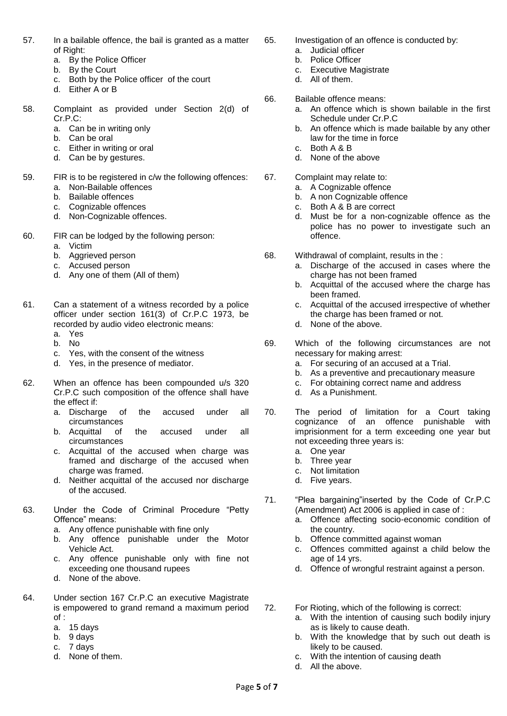- 57. In a bailable offence, the bail is granted as a matter of Right:
	- a. By the Police Officer
	- b. By the Court
	- c. Both by the Police officer of the court
	- d. Either A or B
- 58. Complaint as provided under Section 2(d) of Cr.P.C:
	- a. Can be in writing only
	- b. Can be oral
	- c. Either in writing or oral
	- d. Can be by gestures.
- 59. FIR is to be registered in c/w the following offences: a. Non-Bailable offences
	- b. Bailable offences
	- c. Cognizable offences
	- d. Non-Cognizable offences.
- 60. FIR can be lodged by the following person:
	- a. Victim
		- b. Aggrieved person
		- c. Accused person
		- d. Any one of them (All of them)
- 61. Can a statement of a witness recorded by a police officer under section 161(3) of Cr.P.C 1973, be recorded by audio video electronic means:
	- a. Yes
	- b. No
	- c. Yes, with the consent of the witness
	- d. Yes, in the presence of mediator.
- 62. When an offence has been compounded u/s 320 Cr.P.C such composition of the offence shall have the effect if:
	- a. Discharge of the accused under all circumstances
	- b. Acquittal of the accused under all circumstances
	- c. Acquittal of the accused when charge was framed and discharge of the accused when charge was framed.
	- d. Neither acquittal of the accused nor discharge of the accused.
- 63. Under the Code of Criminal Procedure "Petty Offence" means:
	- a. Any offence punishable with fine only
	- b. Any offence punishable under the Motor Vehicle Act.
	- c. Any offence punishable only with fine not exceeding one thousand rupees
	- d. None of the above.
- 64. Under section 167 Cr.P.C an executive Magistrate is empowered to grand remand a maximum period of :
	- a. 15 days
	- b. 9 days
	- c. 7 days
	- d. None of them.
- 65. Investigation of an offence is conducted by:
	- a. Judicial officer
	- b. Police Officer
	- c. Executive Magistrate
	- d. All of them.
- 66. Bailable offence means:
	- a. An offence which is shown bailable in the first Schedule under Cr.P.C
	- b. An offence which is made bailable by any other law for the time in force
	- c. Both A & B
	- d. None of the above
- 67. Complaint may relate to:
	- a. A Cognizable offence
	- b. A non Cognizable offence
	- c. Both A & B are correct
	- d. Must be for a non-cognizable offence as the police has no power to investigate such an offence.
- 68. Withdrawal of complaint, results in the :
	- a. Discharge of the accused in cases where the charge has not been framed
	- b. Acquittal of the accused where the charge has been framed.
	- c. Acquittal of the accused irrespective of whether the charge has been framed or not.
	- d. None of the above.
- 69. Which of the following circumstances are not necessary for making arrest:
	- a. For securing of an accused at a Trial.
	- b. As a preventive and precautionary measure
	- c. For obtaining correct name and address
	- d. As a Punishment.
- 70. The period of limitation for a Court taking cognizance of an offence punishable with imprisionment for a term exceeding one year but not exceeding three years is:
	- a. One year
	- b. Three year
	- c. Not limitation
	- d. Five years.
- 71. "Plea bargaining"inserted by the Code of Cr.P.C (Amendment) Act 2006 is applied in case of :
	- a. Offence affecting socio-economic condition of the country.
	- b. Offence committed against woman
	- c. Offences committed against a child below the age of 14 yrs.
	- d. Offence of wrongful restraint against a person.
- 72. For Rioting, which of the following is correct:
	- a. With the intention of causing such bodily injury as is likely to cause death.
	- b. With the knowledge that by such out death is likely to be caused.
	- c. With the intention of causing death
	- d. All the above.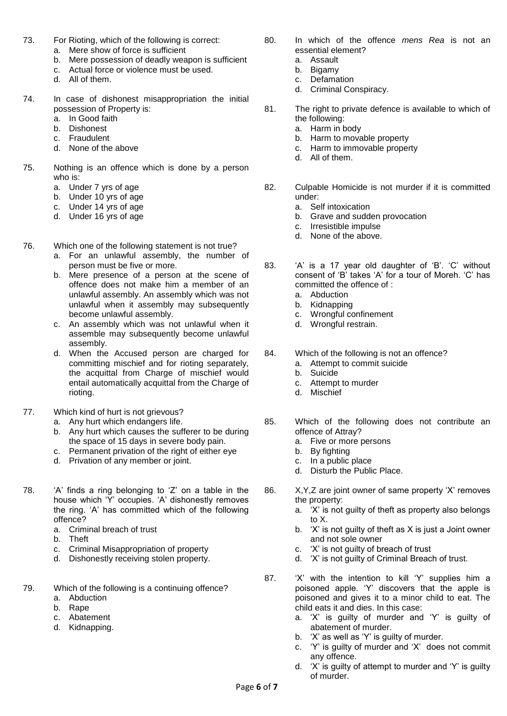- 73. For Rioting, which of the following is correct:
	- a. Mere show of force is sufficient
	- b. Mere possession of deadly weapon is sufficient
	- c. Actual force or violence must be used.
	- d. All of them.
- 74. In case of dishonest misappropriation the initial possession of Property is:
	- a. In Good faith
	- b. Dishonest
	- c. Fraudulent
	- d. None of the above
- 75. Nothing is an offence which is done by a person who is:
	- a. Under 7 yrs of age
	- b. Under 10 yrs of age
	- c. Under 14 yrs of age
	- d. Under 16 yrs of age
- 76. Which one of the following statement is not true?
	- a. For an unlawful assembly, the number of person must be five or more.
	- b. Mere presence of a person at the scene of offence does not make him a member of an unlawful assembly. An assembly which was not unlawful when it assembly may subsequently become unlawful assembly.
	- c. An assembly which was not unlawful when it assemble may subsequently become unlawful assembly.
	- d. When the Accused person are charged for committing mischief and for rioting separately, the acquittal from Charge of mischief would entail automatically acquittal from the Charge of rioting.
- 77. Which kind of hurt is not grievous?
	- a. Any hurt which endangers life.
	- b. Any hurt which causes the sufferer to be during the space of 15 days in severe body pain.
	- c. Permanent privation of the right of either eye
	- d. Privation of any member or joint.
- 78. 'A' finds a ring belonging to 'Z' on a table in the house which 'Y' occupies. 'A' dishonestly removes the ring. 'A' has committed which of the following offence?
	- a. Criminal breach of trust
	- **Theft**
	- c. Criminal Misappropriation of property
	- d. Dishonestly receiving stolen property.
- 79. Which of the following is a continuing offence?
	- a. Abduction
	- b. Rape
	- c. Abatement
	- d. Kidnapping.
- 80. In which of the offence *mens Rea* is not an essential element?
	- a. Assault
	- b. Bigamy
	- c. Defamation
	- d. Criminal Conspiracy.
- 81. The right to private defence is available to which of the following:
	- a. Harm in body
	- b. Harm to movable property
	- c. Harm to immovable property
	- d. All of them.
- 82. Culpable Homicide is not murder if it is committed under:
	- a. Self intoxication
	- b. Grave and sudden provocation
	- c. Irresistible impulse
	- d. None of the above.
- 83. 'A' is a 17 year old daughter of 'B'. 'C' without consent of 'B' takes 'A' for a tour of Moreh. 'C' has committed the offence of :
	- a. Abduction
	- b. Kidnapping
	- c. Wrongful confinement
	- d. Wrongful restrain.
- 84. Which of the following is not an offence?
	- a. Attempt to commit suicide
	- b. Suicide
	- c. Attempt to murder
	- d. Mischief
- 85. Which of the following does not contribute an offence of Attray?
	- a. Five or more persons
	- b. By fighting
	- c. In a public place
	- d. Disturb the Public Place.
- 86. X,Y,Z are joint owner of same property 'X' removes the property:
	- a. 'X' is not guilty of theft as property also belongs to X.
	- b. 'X' is not guilty of theft as X is just a Joint owner and not sole owner
	- c. 'X' is not guilty of breach of trust
	- d. 'X' is not guilty of Criminal Breach of trust.
- 87. 'X' with the intention to kill 'Y' supplies him a poisoned apple. 'Y' discovers that the apple is poisoned and gives it to a minor child to eat. The child eats it and dies. In this case:
	- a. 'X' is guilty of murder and 'Y' is guilty of abatement of murder.
	- b. 'X' as well as 'Y' is guilty of murder.
	- c. 'Y' is guilty of murder and 'X' does not commit any offence.
	- d. 'X' is guilty of attempt to murder and 'Y' is guilty of murder.